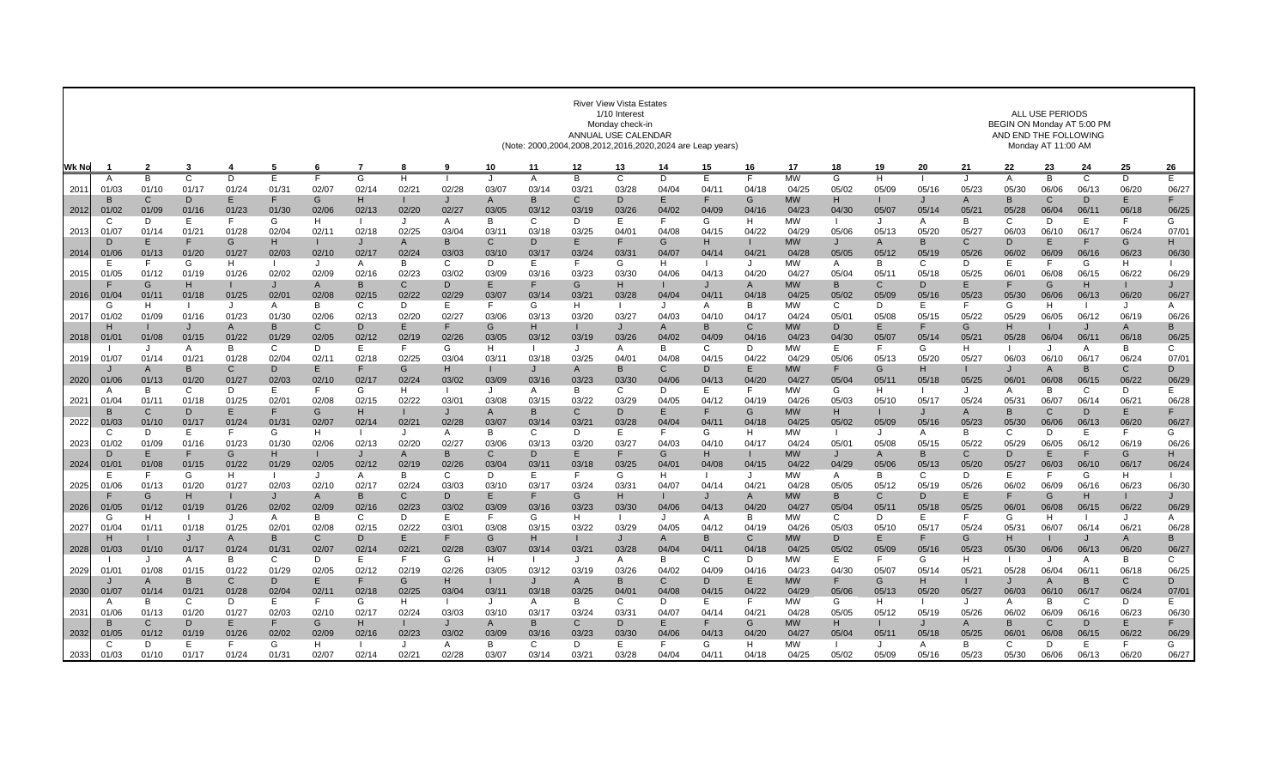|       | <b>River View Vista Estates</b><br>1/10 Interest<br>Monday check-in<br>ANNUAL USE CALENDAR<br>(Note: 2000,2004,2008,2012,2016,2020,2024 are Leap years) |                         |                |                       |                     |              |            |            |                       |                  |                |                  |              |                  | ALL USE PERIODS<br>BEGIN ON Monday AT 5:00 PM<br>AND END THE FOLLOWING<br>Monday AT 11:00 AM |                |                    |                       |             |            |                         |              |                       |                       |              |                       |
|-------|---------------------------------------------------------------------------------------------------------------------------------------------------------|-------------------------|----------------|-----------------------|---------------------|--------------|------------|------------|-----------------------|------------------|----------------|------------------|--------------|------------------|----------------------------------------------------------------------------------------------|----------------|--------------------|-----------------------|-------------|------------|-------------------------|--------------|-----------------------|-----------------------|--------------|-----------------------|
| Wk No |                                                                                                                                                         | $\overline{\mathbf{2}}$ | -3             | 4                     | 5                   | 6            |            | 8          | 9                     | 10               | 11             | 12               | 13           | 14               | 15                                                                                           | 16             | 17                 | 18                    | 19          | 20         | 21                      | 22           | 23                    | 24                    | 25           | 26                    |
|       | A                                                                                                                                                       | B                       | $\overline{c}$ | D                     | E                   |              | G          | н          |                       | J                | Α              | B                | $\mathsf{C}$ | D                | E                                                                                            | F              | <b>MW</b>          | G                     | H.          |            | $\cdot$                 | Α            | $\overline{B}$        | $\mathsf{C}$          | Þ            | Ε                     |
| 2011  | 01/03<br><b>B</b>                                                                                                                                       | 01/10<br>C              | 01/17<br>D     | 01/24<br>E            | 01/3'<br>F          | 02/07<br>G   | 02/14<br>н | 02/21      | 02/28<br>J            | 03/07<br>A       | 03/14<br>B     | 03/21<br>C       | 03/28<br>D   | 04/04<br>Е       | 04/11<br>F                                                                                   | 04/18<br>G     | 04/25<br><b>MW</b> | 05/02<br>H            | 05/09       | 05/16      | 05/23<br>$\mathsf{A}$   | 05/30<br>B   | 06/06<br>C            | 06/13<br>D            | 06/20<br>E.  | 06/27<br>F            |
| 2012  | 01/02                                                                                                                                                   | 01/09                   | 01/16          | 01/23                 | 01/30               | 02/06        | 02/13      | 02/20      | 02/27                 | 03/05            | 03/12          | 03/19            | 03/26        | 04/02            | 04/09                                                                                        | 04/16          | 04/23              | 04/30                 | 05/07       | 05/14      | 05/2                    | 05/28        | 06/04                 | 06/1                  | 06/18        | 06/25                 |
|       | C                                                                                                                                                       | D                       | E              | F                     | G                   | H            |            | J          | A                     | В                | C              | D                | Ε            | F                | G                                                                                            | н              | МW                 |                       | J           | A          | B                       | C            | D                     | E                     | F.           | G                     |
| 2013  | 01/07                                                                                                                                                   | 01/14                   | 01/21          | 01/28                 | 02/04               | 02/11        | 02/18      | 02/25      | 03/04                 | 03/11            | 03/18          | 03/25            | 04/01        | 04/08            | 04/15                                                                                        | 04/22          | 04/29              | 05/06                 | 05/13       | 05/20      | 05/27                   | 06/03        | 06/10                 | 06/17                 | 06/24        | 07/01                 |
| 2014  | D<br>01/06                                                                                                                                              | Ε<br>01/13              | F<br>01/20     | G<br>01/27            | н<br>02/03          | 02/10        | 02/17      | A<br>02/24 | B<br>03/03            | C<br>03/10       | D<br>03/17     | E.<br>03/24      | 03/31        | G<br>04/07       | н<br>04/14                                                                                   | 04/21          | <b>MW</b><br>04/28 | J<br>05/05            | A<br>05/12  | B<br>05/19 | C<br>05/26              | D<br>06/02   | Е<br>06/09            | 06/16                 | G<br>06/23   | Н.<br>06/30           |
|       | E                                                                                                                                                       | E                       | G              | н                     |                     |              | A          | B          | C                     | D                | Е              | F.               | G            | H                |                                                                                              | J              | <b>MW</b>          | A                     | B           | C          | D                       | E.           | F                     | G                     | H.           |                       |
| 2015  | 01/05                                                                                                                                                   | 01/12                   | 01/19          | 01/26                 | 02/02               | 02/09        | 02/16      | 02/23      | 03/02                 | 03/09            | 03/16          | 03/23            | 03/30        | 04/06            | 04/13                                                                                        | 04/20          | 04/27              | 05/04                 | 05/11       | 05/18      | 05/25                   | 06/01        | 06/08                 | 06/15                 | 06/22        | 06/29                 |
|       |                                                                                                                                                         | G                       | H              |                       | $\mathsf{J}$        | $\mathsf{A}$ | B          | C          | D                     | E.               | F              | G                | н            |                  | J                                                                                            | $\overline{A}$ | <b>MW</b>          | B                     | C           | D          | E                       | F            | G                     | H                     | $\mathbf{I}$ | J                     |
| 2016  | 01/04<br>G                                                                                                                                              | 01/1<br>H               | 01/18          | 01/25<br>J            | 02/01<br>A          | 02/08<br>B   | 02/15<br>C | 02/22<br>D | 02/29<br>Ε            | 03/07<br>F       | 03/14<br>G     | 03/21<br>H.      | 03/28        | 04/04<br>J       | 04/11<br>A                                                                                   | 04/18<br>B     | 04/25<br><b>MW</b> | 05/02<br>C            | 05/09<br>D  | 05/16<br>Е | 05/23<br>F              | 05/30<br>G   | 06/06<br>H            | 06/13                 | 06/20<br>J   | 06/27<br>A            |
| 2017  | 01/02                                                                                                                                                   | 01/09                   | 01/16          | 01/23                 | 01/30               | 02/06        | 02/13      | 02/20      | 02/27                 | 03/06            | 03/13          | 03/20            | 03/27        | 04/03            | 04/10                                                                                        | 04/17          | 04/24              | 05/0                  | 05/08       | 05/15      | 05/22                   | 05/29        | 06/05                 | 06/12                 | 06/19        | 06/26                 |
|       |                                                                                                                                                         |                         | $\mathbf{J}$   | $\mathsf{A}$          | B                   | C            | D          | E          | F                     | G                | н              |                  |              | $\mathsf{A}$     | B                                                                                            | $\mathsf{C}$   | <b>MW</b>          | D                     | E.          |            | G                       | н            |                       | $\mathbf{J}$          | A            | B                     |
| 2018  | 01/0                                                                                                                                                    | 01/08                   | 01/15          | 01/22<br><sub>R</sub> | 01/29               | 02/05        | 02/12<br>E | 02/19<br>F | 02/26                 | 03/05            | 03/12          | 03/19            | 03/26        | 04/02            | 04/09                                                                                        | 04/16          | 04/23              | 04/30<br>E.           | 05/07<br>F  | 05/14      | 05/21                   | 05/28        | 06/04                 | 06/11                 | 06/18        | 06/25                 |
| 2019  | 01/07                                                                                                                                                   | $\cdot$<br>01/14        | A<br>01/21     | 01/28                 | C<br>02/04          | D<br>02/11   | 02/18      | 02/25      | G<br>03/04            | H<br>03/11       | 03/18          | $\cdot$<br>03/25 | A<br>04/01   | B<br>04/08       | C<br>04/15                                                                                   | D<br>04/22     | <b>MW</b><br>04/29 | 05/06                 | 05/13       | G<br>05/20 | H<br>05/27              | 06/03        | $\cdot$<br>06/10      | A<br>06/17            | B<br>06/24   | $\mathbf{C}$<br>07/01 |
|       |                                                                                                                                                         | $\overline{A}$          | B              | $\mathsf{C}$          | D                   | E            |            | G          | н                     |                  | J              | $\mathsf{A}$     | B            | $\mathcal{C}$    | D                                                                                            | E              | <b>MW</b>          |                       | G           | H          |                         | $\cdot$      | $\overline{A}$        | B                     | $\mathsf{C}$ | D                     |
| 2020  | 01/06                                                                                                                                                   | 01/13                   | 01/20          | 01/27                 | 02/03               | 02/10        | 02/17      | 02/24      | 03/02                 | 03/09            | 03/16          | 03/23            | 03/30        | 04/06            | 04/13                                                                                        | 04/20          | 04/27              | 05/04                 | 05/11       | 05/18      | 05/25                   | 06/01        | 06/08                 | 06/15                 | 06/22        | 06/29                 |
|       | A                                                                                                                                                       | B                       | C              | D                     | E.                  |              | G          | H          |                       | J                | A              | В                | C            | D                | Е                                                                                            | F              | MW                 | G                     | н           |            | J                       | A            | B                     | C                     | D            | E.                    |
| 2021  | 01/04<br>B                                                                                                                                              | 01/1<br>C               | 01/18<br>D     | 01/25<br>E            | $02/0^{\circ}$<br>F | 02/08<br>G   | 02/15<br>H | 02/22      | 03/01<br>$\mathsf{J}$ | 03/08<br>A       | 03/15<br>B     | 03/22<br>C       | 03/29<br>D   | 04/05<br>Е       | 04/12<br>F                                                                                   | 04/19<br>G     | 04/26<br><b>MW</b> | 05/03<br>H            | 05/10       | 05/17      | 05/24<br>$\overline{A}$ | 05/31<br>B   | 06/07<br>$\mathsf{C}$ | 06/14<br>D            | 06/21<br>E.  | 06/28<br>F.           |
| 2022  | 01/03                                                                                                                                                   | 01/10                   | 01/17          | 01/24                 | 01/31               | 02/07        | 02/14      | 02/21      | 02/28                 | 03/07            | 03/14          | 03/21            | 03/28        | 04/04            | 04/11                                                                                        | 04/18          | 04/25              | 05/02                 | 05/09       | 05/16      | 05/23                   | 05/30        | 06/06                 | 06/13                 | 06/20        | 06/27                 |
|       | C                                                                                                                                                       | D                       | E              | F.                    | G                   | H            |            | J          | A                     | B                | C              | D                | Е            | F                | G                                                                                            | н              | <b>MW</b>          | $\mathbf{I}$          | J           | A          | B                       | C            | D                     | E                     | F.           | G                     |
| 2023  | 01/02                                                                                                                                                   | 01/09                   | 01/16          | 01/23                 | 01/30               | 02/06        | 02/13      | 02/20      | 02/27                 | 03/06            | 03/13          | 03/20            | 03/27        | 04/03            | 04/10                                                                                        | 04/17          | 04/24              | 05/01                 | 05/08       | 05/15      | 05/22                   | 05/29        | 06/05                 | 06/12                 | 06/19        | 06/26<br>н            |
| 2024  | D<br>01/0                                                                                                                                               | Е<br>01/08              | 01/15          | G<br>01/22            | н<br>01/29          | 02/05        | 02/12      | A<br>02/19 | в<br>02/26            | C<br>03/04       | D<br>03/11     | E.<br>03/18      | 03/25        | G<br>04/0'       | н<br>04/08                                                                                   | 04/15          | <b>MW</b><br>04/22 | $\mathbf{J}$<br>04/29 | A<br>05/06  | B<br>05/13 | C<br>05/20              | D<br>05/27   | Е<br>06/03            | 06/10                 | G<br>06/17   | 06/24                 |
|       |                                                                                                                                                         | F                       | G              | н                     |                     | J            | A          | B          | C                     | D                | Е              | F.               | G            | H                |                                                                                              | J              | MW                 | A                     | В           | C          | D                       | Е            | F                     | G                     | н            |                       |
| 2025  | 01/06                                                                                                                                                   | 01/13                   | 01/20          | 01/27                 | 02/03               | 02/10        | 02/17      | 02/24      | 03/03                 | 03/10            | 03/17          | 03/24            | 03/31        | 04/07            | 04/14                                                                                        | 04/21          | 04/28              | 05/05                 | 05/12       | 05/19      | 05/26                   | 06/02        | 06/09                 | 06/16                 | 06/23        | 06/30                 |
|       |                                                                                                                                                         | G                       | H              |                       | 02/02               | A<br>02/09   | B<br>02/16 | C          | D                     | E.               | F<br>03/16     | G                | н<br>03/30   |                  | J<br>04/13                                                                                   | A<br>04/20     | <b>MW</b>          | B<br>05/04            | С           | D          | E                       | F<br>06/01   | G<br>06/08            | H<br>06/15            | 06/22        |                       |
| 2026  | 01/05<br>G                                                                                                                                              | 01/12<br>H              | 01/19<br>- 1   | 01/26<br>$\cdot$      | A                   | B            | C          | 02/23<br>D | 03/02<br>Ε            | 03/09<br>F.      | G              | 03/23<br>H       |              | 04/06<br>$\cdot$ | A                                                                                            | B              | 04/27<br><b>MW</b> | C                     | 05/11<br>D  | 05/18<br>F | 05/25<br>F              | G            | H                     |                       | J            | 06/29<br>A            |
| 2027  | 01/04                                                                                                                                                   | 01/11                   | 01/18          | 01/25                 | $02/0^{\circ}$      | 02/08        | 02/15      | 02/22      | 03/01                 | 03/08            | 03/15          | 03/22            | 03/29        | 04/05            | 04/12                                                                                        | 04/19          | 04/26              | 05/03                 | 05/10       | 05/17      | 05/24                   | 05/31        | 06/07                 | 06/14                 | 06/21        | 06/28                 |
|       | H                                                                                                                                                       |                         | $\mathbf{J}$   | $\overline{A}$        | B                   | $\mathsf{C}$ | D          | E          | F                     | G                | H              |                  |              | $\overline{A}$   | B                                                                                            | C              | <b>MW</b>          | D                     | E.          | F          | G                       | н            |                       | $\mathbf{J}$          | $\mathsf{A}$ | B.                    |
| 2028  | 01/03                                                                                                                                                   | 01/10<br>$\cdot$        | 01/17<br>A     | 01/24<br>B            | 01/3'<br>C          | 02/07<br>D   | 02/14<br>E | 02/2<br>F  | 02/28<br>G            | 03/07<br>H       | 03/14          | 03/21<br>$\cdot$ | 03/28<br>A   | 04/04<br>B       | 04/1<br>C                                                                                    | 04/18<br>D     | 04/25<br><b>MW</b> | 05/02<br>E            | 05/09<br>F. | 05/16<br>G | 05/23<br>H              | 05/30        | 06/06                 | 06/13<br>A            | 06/20<br>B   | 06/27<br>$\mathbf{C}$ |
| 2029  | 01/01                                                                                                                                                   | 01/08                   | 01/15          | 01/22                 | 01/29               | 02/05        | 02/12      | 02/19      | 02/26                 | 03/05            | 03/12          | 03/19            | 03/26        | 04/02            | 04/09                                                                                        | 04/16          | 04/23              | 04/30                 | 05/07       | 05/14      | 05/21                   | 05/28        | 06/04                 | 06/1                  | 06/18        | 06/25                 |
|       |                                                                                                                                                         | $\mathsf{A}$            | B              | $\mathsf{C}$          | D                   |              |            | G          | H.                    |                  | $\mathbf{J}$   | A                | B            | $\mathcal{C}$    | D                                                                                            | E              | <b>MW</b>          |                       | G           | н          |                         |              | $\overline{A}$        | B                     | $\mathsf{C}$ | D                     |
| 2030  | 01/07                                                                                                                                                   | 01/14                   | 01/21          | 01/28                 | 02/04               | 02/11        | 02/18      | 02/25      | 03/04                 | 03/11            | 03/18          | 03/25            | 04/01        | 04/08            | 04/15                                                                                        | 04/22          | 04/29              | 05/06                 | 05/13       | 05/20      | 05/27                   | 06/03        | 06/10                 | 06/17                 | 06/24        | 07/01                 |
| 2031  | A<br>01/06                                                                                                                                              | B<br>01/13              | C<br>01/20     | D<br>01/27            | E.<br>02/03         | 02/10        | G<br>02/17 | H<br>02/24 | 03/03                 | $\cdot$<br>03/10 | A<br>03/17     | B<br>03/24       | C.<br>03/31  | D<br>04/07       | E.<br>04/14                                                                                  | F<br>04/21     | <b>MW</b><br>04/28 | G<br>05/05            | H.<br>05/12 | 05/19      | $\cdot$<br>05/26        | A<br>06/02   | B<br>06/09            | $\mathsf{C}$<br>06/16 | D<br>06/23   | E<br>06/30            |
|       | <b>B</b>                                                                                                                                                | $\Omega$                | $\mathsf{D}$   | F                     | F                   | G            | н          |            |                       | A                | $\overline{B}$ | C                | D            | E                | F                                                                                            | G              | <b>MW</b>          | H                     |             |            | $\overline{A}$          | <sub>B</sub> | $\mathsf{C}$          | $\mathsf{D}$          | E            | F.                    |
| 2032  | 01/05                                                                                                                                                   | 01/12                   | 01/19          | 01/26                 | 02/02               | 02/09        | 02/16      | 02/23      | 03/02                 | 03/09            | 03/16          | 03/23            | 03/30        | 04/06            | 04/13                                                                                        | 04/20          | 04/27              | 05/04                 | 05/11       | 05/18      | 05/25                   | 06/01        | 06/08                 | 06/15                 | 06/22        | 06/29                 |
|       |                                                                                                                                                         | D                       | E              | E                     | G                   | H            |            |            | A                     | B                | $\mathsf{C}$   | D                | E            | E                | G                                                                                            | н              | <b>MW</b>          |                       | $\cdot$     | A          | B <sub>1</sub>          | $\mathbf{C}$ | D                     | E                     | F.           | G<br>06/27            |
| 2033  | 01/03                                                                                                                                                   | 01/10                   | 01/17          | 01/24                 | 01/31               | 02/07        | 02/14      | 02/21      | 02/28                 | 03/07            | 03/14          | 03/21            | 03/28        | 04/04            | 04/11                                                                                        | 04/18          | 04/25              | 05/02                 | 05/09       | 05/16      | 05/23                   | 05/30        | 06/06                 | 06/13                 | 06/20        |                       |